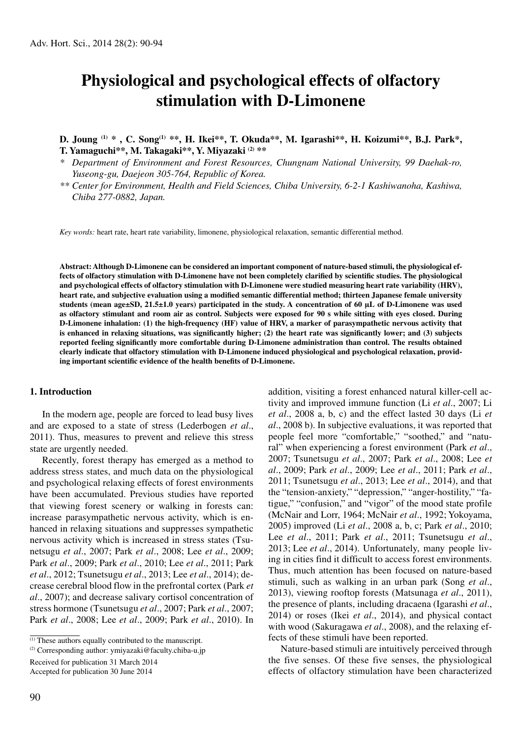# **Physiological and psychological effects of olfactory stimulation with D-Limonene**

**D. Joung (1) \* , C. Song(1) \*\*, H. Ikei\*\*, T. Okuda\*\*, M. Igarashi\*\*, H. Koizumi\*\*, B.J. Park\*, T. Yamaguchi\*\*, M. Takagaki\*\*, Y. Miyazaki (2) \*\***

*\* Department of Environment and Forest Resources, Chungnam National University, 99 Daehak-ro, Yuseong-gu, Daejeon 305-764, Republic of Korea.*

*\*\* Center for Environment, Health and Field Sciences, Chiba University, 6-2-1 Kashiwanoha, Kashiwa, Chiba 277-0882, Japan.*

*Key words:* heart rate, heart rate variability, limonene, physiological relaxation, semantic differential method.

**Abstract: Although D-Limonene can be considered an important component of nature-based stimuli, the physiological effects of olfactory stimulation with D-Limonene have not been completely clarified by scientific studies. The physiological and psychological effects of olfactory stimulation with D-Limonene were studied measuring heart rate variability (HRV), heart rate, and subjective evaluation using a modified semantic differential method; thirteen Japanese female university students (mean age±SD, 21.5±1.0 years) participated in the study. A concentration of 60 µL of D-Limonene was used as olfactory stimulant and room air as control. Subjects were exposed for 90 s while sitting with eyes closed. During D-Limonene inhalation: (1) the high-frequency (HF) value of HRV, a marker of parasympathetic nervous activity that is enhanced in relaxing situations, was significantly higher; (2) the heart rate was significantly lower; and (3) subjects reported feeling significantly more comfortable during D-Limonene administration than control. The results obtained clearly indicate that olfactory stimulation with D-Limonene induced physiological and psychological relaxation, providing important scientific evidence of the health benefits of D-Limonene.**

## **1. Introduction**

In the modern age, people are forced to lead busy lives and are exposed to a state of stress (Lederbogen *et al*., 2011). Thus, measures to prevent and relieve this stress state are urgently needed.

Recently, forest therapy has emerged as a method to address stress states, and much data on the physiological and psychological relaxing effects of forest environments have been accumulated. Previous studies have reported that viewing forest scenery or walking in forests can: increase parasympathetic nervous activity, which is enhanced in relaxing situations and suppresses sympathetic nervous activity which is increased in stress states (Tsunetsugu *et al*., 2007; Park *et al*., 2008; Lee *et al*., 2009; Park *et al*., 2009; Park *et al*., 2010; Lee *et al*., 2011; Park *et al*., 2012; Tsunetsugu *et al*., 2013; Lee *et al*., 2014); decrease cerebral blood flow in the prefrontal cortex (Park *et al*., 2007); and decrease salivary cortisol concentration of stress hormone (Tsunetsugu *et al*., 2007; Park *et al*., 2007; Park *et al*., 2008; Lee *et al*., 2009; Park *et al*., 2010). In

(2) Corresponding author: ymiyazaki@faculty.chiba-u.jp

Received for publication 31 March 2014

Accepted for publication 30 June 2014

addition, visiting a forest enhanced natural killer-cell activity and improved immune function (Li *et al*., 2007; Li *et al*., 2008 a, b, c) and the effect lasted 30 days (Li *et al*., 2008 b). In subjective evaluations, it was reported that people feel more "comfortable," "soothed," and "natural" when experiencing a forest environment (Park *et al*., 2007; Tsunetsugu *et al*., 2007; Park *et al*., 2008; Lee *et al*., 2009; Park *et al*., 2009; Lee *et al*., 2011; Park *et al*., 2011; Tsunetsugu *et al*., 2013; Lee *et al*., 2014), and that the "tension-anxiety," "depression," "anger-hostility," "fatigue," "confusion," and "vigor" of the mood state profile (McNair and Lorr, 1964; McNair *et al*., 1992; Yokoyama, 2005) improved (Li *et al*., 2008 a, b, c; Park *et al*., 2010; Lee *et al*., 2011; Park *et al*., 2011; Tsunetsugu *et al*., 2013; Lee *et al*., 2014). Unfortunately, many people living in cities find it difficult to access forest environments. Thus, much attention has been focused on nature-based stimuli, such as walking in an urban park (Song *et al*., 2013), viewing rooftop forests (Matsunaga *et al*., 2011), the presence of plants, including dracaena (Igarashi *et al*., 2014) or roses (Ikei *et al*., 2014), and physical contact with wood (Sakuragawa *et al*., 2008), and the relaxing effects of these stimuli have been reported.

Nature-based stimuli are intuitively perceived through the five senses. Of these five senses, the physiological effects of olfactory stimulation have been characterized

 $\overline{^{(1)}}$  These authors equally contributed to the manuscript.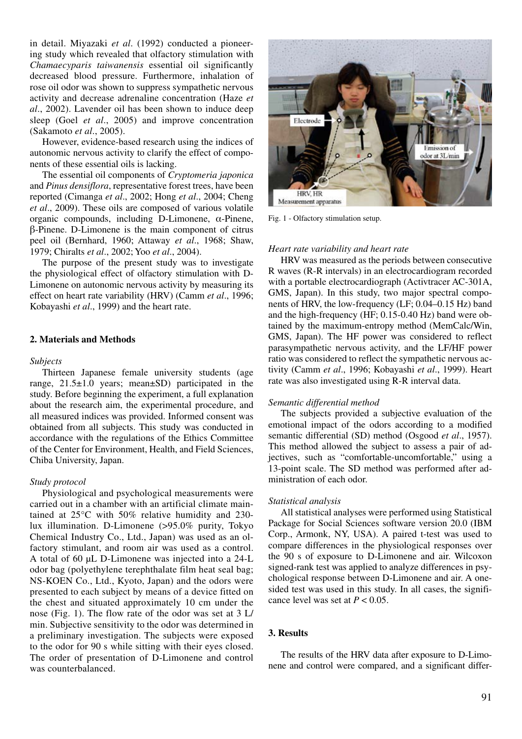in detail. Miyazaki *et al*. (1992) conducted a pioneering study which revealed that olfactory stimulation with *Chamaecyparis taiwanensis* essential oil significantly decreased blood pressure. Furthermore, inhalation of rose oil odor was shown to suppress sympathetic nervous activity and decrease adrenaline concentration (Haze *et al*., 2002). Lavender oil has been shown to induce deep sleep (Goel *et al*., 2005) and improve concentration (Sakamoto *et al*., 2005).

However, evidence-based research using the indices of autonomic nervous activity to clarify the effect of components of these essential oils is lacking.

The essential oil components of *Cryptomeria japonica* and *Pinus densiflora*, representative forest trees, have been reported (Cimanga *et al*., 2002; Hong *et al*., 2004; Cheng *et al*., 2009). These oils are composed of various volatile organic compounds, including D-Limonene, α-Pinene, β-Pinene. D-Limonene is the main component of citrus peel oil (Bernhard, 1960; Attaway *et al*., 1968; Shaw, 1979; Chiralts *et al*., 2002; Yoo *et al*., 2004).

The purpose of the present study was to investigate the physiological effect of olfactory stimulation with D-Limonene on autonomic nervous activity by measuring its effect on heart rate variability (HRV) (Camm *et al*., 1996; Kobayashi *et al*., 1999) and the heart rate.

# **2. Materials and Methods**

#### *Subjects*

Thirteen Japanese female university students (age range, 21.5±1.0 years; mean±SD) participated in the study. Before beginning the experiment, a full explanation about the research aim, the experimental procedure, and all measured indices was provided. Informed consent was obtained from all subjects. This study was conducted in accordance with the regulations of the Ethics Committee of the Center for Environment, Health, and Field Sciences, Chiba University, Japan.

#### *Study protocol*

Physiological and psychological measurements were carried out in a chamber with an artificial climate maintained at 25°C with 50% relative humidity and 230 lux illumination. D-Limonene (>95.0% purity, Tokyo Chemical Industry Co., Ltd., Japan) was used as an olfactory stimulant, and room air was used as a control. A total of 60 µL D-Limonene was injected into a 24-L odor bag (polyethylene terephthalate film heat seal bag; NS-KOEN Co., Ltd., Kyoto, Japan) and the odors were presented to each subject by means of a device fitted on the chest and situated approximately 10 cm under the nose (Fig. 1). The flow rate of the odor was set at 3 L/ min. Subjective sensitivity to the odor was determined in a preliminary investigation. The subjects were exposed to the odor for 90 s while sitting with their eyes closed. The order of presentation of D-Limonene and control was counterbalanced.



Fig. 1 - Olfactory stimulation setup.

#### *Heart rate variability and heart rate*

HRV was measured as the periods between consecutive R waves (R-R intervals) in an electrocardiogram recorded with a portable electrocardiograph (Activtracer AC-301A, GMS, Japan). In this study, two major spectral components of HRV, the low-frequency (LF; 0.04–0.15 Hz) band and the high-frequency (HF; 0.15-0.40 Hz) band were obtained by the maximum-entropy method (MemCalc/Win, GMS, Japan). The HF power was considered to reflect parasympathetic nervous activity, and the LF/HF power ratio was considered to reflect the sympathetic nervous activity (Camm *et al*., 1996; Kobayashi *et al*., 1999). Heart rate was also investigated using R-R interval data.

#### *Semantic differential method*

The subjects provided a subjective evaluation of the emotional impact of the odors according to a modified semantic differential (SD) method (Osgood *et al*., 1957). This method allowed the subject to assess a pair of adjectives, such as "comfortable-uncomfortable," using a 13-point scale. The SD method was performed after administration of each odor.

#### *Statistical analysis*

All statistical analyses were performed using Statistical Package for Social Sciences software version 20.0 (IBM Corp., Armonk, NY, USA). A paired t-test was used to compare differences in the physiological responses over the 90 s of exposure to D-Limonene and air. Wilcoxon signed-rank test was applied to analyze differences in psychological response between D-Limonene and air. A onesided test was used in this study. In all cases, the significance level was set at  $P < 0.05$ .

### **3. Results**

The results of the HRV data after exposure to D-Limonene and control were compared, and a significant differ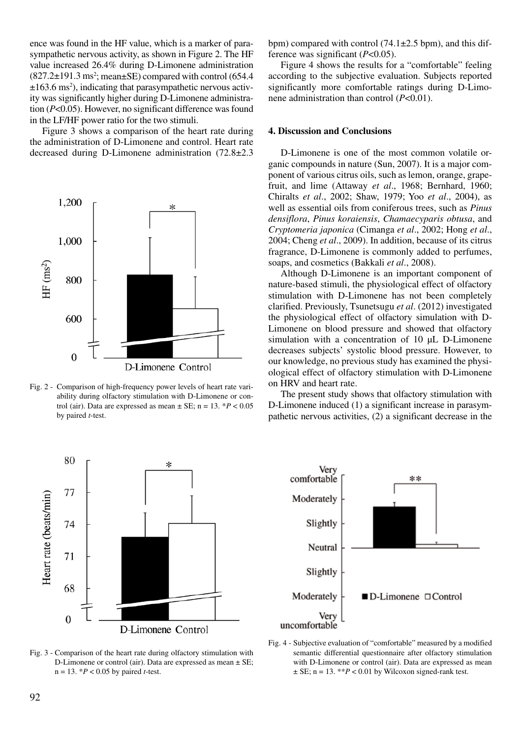ence was found in the HF value, which is a marker of parasympathetic nervous activity, as shown in Figure 2. The HF value increased 26.4% during D-Limonene administration  $(827.2 \pm 191.3 \text{ ms}^2; \text{mean} \pm \text{SE})$  compared with control  $(654.4$  $\pm 163.6$  ms<sup>2</sup>), indicating that parasympathetic nervous activity was significantly higher during D-Limonene administration (*P*<0.05). However, no significant difference was found in the LF/HF power ratio for the two stimuli.

Figure 3 shows a comparison of the heart rate during the administration of D-Limonene and control. Heart rate decreased during D-Limonene administration (72.8±2.3



Fig. 2 - Comparison of high-frequency power levels of heart rate variability during olfactory stimulation with D-Limonene or control (air). Data are expressed as mean  $\pm$  SE; n = 13.  $*P < 0.05$ by paired *t*-test.



Fig. 3 - Comparison of the heart rate during olfactory stimulation with D-Limonene or control (air). Data are expressed as mean ± SE; n = 13. \**P* < 0.05 by paired *t*-test.

bpm) compared with control  $(74.1 \pm 2.5 \text{ bpm})$ , and this difference was significant (*P*<0.05).

Figure 4 shows the results for a "comfortable" feeling according to the subjective evaluation. Subjects reported significantly more comfortable ratings during D-Limonene administration than control (*P*<0.01).

# **4. Discussion and Conclusions**

D-Limonene is one of the most common volatile organic compounds in nature (Sun, 2007). It is a major component of various citrus oils, such as lemon, orange, grapefruit, and lime (Attaway *et al*., 1968; Bernhard, 1960; Chiralts *et al*., 2002; Shaw, 1979; Yoo *et al*., 2004), as well as essential oils from coniferous trees, such as *Pinus densiflora*, *Pinus koraiensis*, *Chamaecyparis obtusa*, and *Cryptomeria japonica* (Cimanga *et al*., 2002; Hong *et al*., 2004; Cheng *et al*., 2009). In addition, because of its citrus fragrance, D-Limonene is commonly added to perfumes, soaps, and cosmetics (Bakkali *et al*., 2008).

Although D-Limonene is an important component of nature-based stimuli, the physiological effect of olfactory stimulation with D-Limonene has not been completely clarified. Previously, Tsunetsugu *et al*. (2012) investigated the physiological effect of olfactory simulation with D-Limonene on blood pressure and showed that olfactory simulation with a concentration of 10 μL D-Limonene decreases subjects' systolic blood pressure. However, to our knowledge, no previous study has examined the physiological effect of olfactory stimulation with D-Limonene on HRV and heart rate.

The present study shows that olfactory stimulation with D-Limonene induced (1) a significant increase in parasympathetic nervous activities, (2) a significant decrease in the



Fig. 4 - Subjective evaluation of "comfortable" measured by a modified semantic differential questionnaire after olfactory stimulation with D-Limonene or control (air). Data are expressed as mean  $\pm$  SE; n = 13. \*\**P* < 0.01 by Wilcoxon signed-rank test.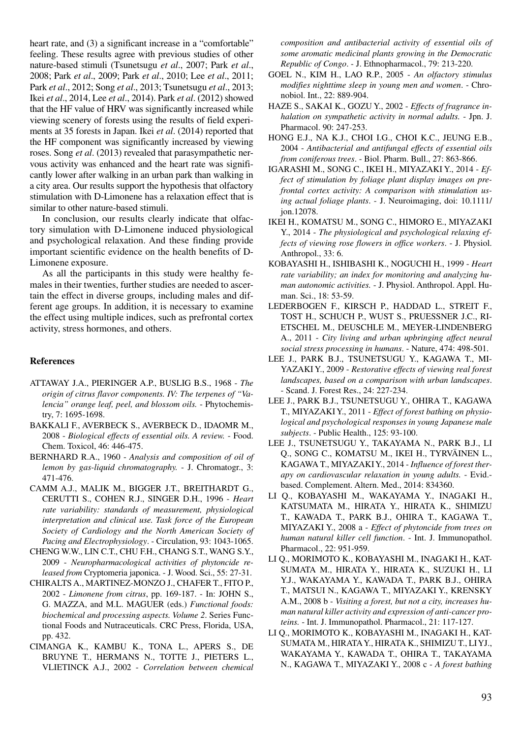heart rate, and (3) a significant increase in a "comfortable" feeling. These results agree with previous studies of other nature-based stimuli (Tsunetsugu *et al*., 2007; Park *et al*., 2008; Park *et al*., 2009; Park *et al*., 2010; Lee *et al*., 2011; Park *et al*., 2012; Song *et al*., 2013; Tsunetsugu *et al*., 2013; Ikei *et al*., 2014, Lee *et al*., 2014). Park *et al*. (2012) showed that the HF value of HRV was significantly increased while viewing scenery of forests using the results of field experiments at 35 forests in Japan. Ikei *et al*. (2014) reported that the HF component was significantly increased by viewing roses. Song *et al*. (2013) revealed that parasympathetic nervous activity was enhanced and the heart rate was significantly lower after walking in an urban park than walking in a city area. Our results support the hypothesis that olfactory stimulation with D-Limonene has a relaxation effect that is similar to other nature-based stimuli.

In conclusion, our results clearly indicate that olfactory simulation with D-Limonene induced physiological and psychological relaxation. And these finding provide important scientific evidence on the health benefits of D-Limonene exposure.

As all the participants in this study were healthy females in their twenties, further studies are needed to ascertain the effect in diverse groups, including males and different age groups. In addition, it is necessary to examine the effect using multiple indices, such as prefrontal cortex activity, stress hormones, and others.

# **References**

- ATTAWAY J.A., PIERINGER A.P., BUSLIG B.S., 1968 *The origin of citrus flavor components. IV: The terpenes of "Valencia" orange leaf, peel, and blossom oils.* - Phytochemistry, 7: 1695-1698.
- BAKKALI F., AVERBECK S., AVERBECK D., IDAOMR M., 2008 - *Biological effects of essential oils. A review.* - Food. Chem. Toxicol, 46: 446-475.
- BERNHARD R.A., 1960 *Analysis and composition of oil of lemon by gas-liquid chromatography.* - J. Chromatogr., 3: 471-476.
- CAMM A.J., MALIK M., BIGGER J.T., BREITHARDT G., CERUTTI S., COHEN R.J., SINGER D.H., 1996 - *Heart rate variability: standards of measurement, physiological interpretation and clinical use. Task force of the European Society of Cardiology and the North American Society of Pacing and Electrophysiology*. - Circulation, 93: 1043-1065.
- CHENG W.W., LIN C.T., CHU F.H., CHANG S.T., WANG S.Y., 2009 - *Neuropharmacological activities of phytoncide released from* Cryptomeria japonica. - J. Wood. Sci., 55: 27-31.
- CHIRALTS A., MARTINEZ-MONZO J., CHAFER T., FITO P., 2002 - *Limonene from citrus*, pp. 169-187. - In: JOHN S., G. MAZZA, and M.L. MAGUER (eds.) *Functional foods: biochemical and processing aspects. Volume 2*. Series Functional Foods and Nutraceuticals. CRC Press, Florida, USA, pp. 432.
- CIMANGA K., KAMBU K., TONA L., APERS S., DE BRUYNE T., HERMANS N., TOTTE J., PIETERS L., VLIETINCK A.J., 2002 - *Correlation between chemical*

*composition and antibacterial activity of essential oils of some aromatic medicinal plants growing in the Democratic Republic of Congo*. - J. Ethnopharmacol., 79: 213-220.

- GOEL N., KIM H., LAO R.P., 2005 *An olfactory stimulus modifies nighttime sleep in young men and women*. - Chronobiol. Int., 22: 889-904.
- HAZE S., SAKAI K., GOZU Y., 2002 *Effects of fragrance inhalation on sympathetic activity in normal adults.* - Jpn. J. Pharmacol. 90: 247-253.
- HONG E.J., NA K.J., CHOI I.G., CHOI K.C., JEUNG E.B., 2004 - *Antibacterial and antifungal effects of essential oils from coniferous trees*. - Biol. Pharm. Bull., 27: 863-866.
- IGARASHI M., SONG C., IKEI H., MIYAZAKI Y., 2014 *Effect of stimulation by foliage plant display images on prefrontal cortex activity: A comparison with stimulation using actual foliage plants*. - J. Neuroimaging, doi: 10.1111/ jon.12078.
- IKEI H., KOMATSU M., SONG C., HIMORO E., MIYAZAKI Y., 2014 - *The physiological and psychological relaxing effects of viewing rose flowers in office workers*. - J. Physiol. Anthropol., 33: 6.
- KOBAYASHI H., ISHIBASHI K., NOGUCHI H., 1999 *Heart rate variability; an index for monitoring and analyzing human autonomic activities.* - J. Physiol. Anthropol. Appl. Human. Sci., 18: 53-59.
- LEDERBOGEN F., KIRSCH P., HADDAD L., STREIT F., TOST H., SCHUCH P., WUST S., PRUESSNER J.C., RI-ETSCHEL M., DEUSCHLE M., MEYER-LINDENBERG A., 2011 - *City living and urban upbringing affect neural social stress processing in humans*. - Nature, 474: 498-501.
- LEE J., PARK B.J., TSUNETSUGU Y., KAGAWA T., MI-YAZAKI Y., 2009 - *Restorative effects of viewing real forest landscapes, based on a comparison with urban landscapes*. - Scand. J. Forest Res., 24: 227-234.
- LEE J., PARK B.J., TSUNETSUGU Y., OHIRA T., KAGAWA T., MIYAZAKI Y., 2011 - *Effect of forest bathing on physiological and psychological responses in young Japanese male subjects*. - Public Health., 125: 93-100.
- LEE J., TSUNETSUGU Y., TAKAYAMA N., PARK B.J., LI Q., SONG C., KOMATSU M., IKEI H., TYRVÄINEN L., KAGAWA T., MIYAZAKI Y., 2014 - *Influence of forest therapy on cardiovascular relaxation in young adults.* - Evid. based. Complement. Altern. Med., 2014: 834360.
- LI Q., KOBAYASHI M., WAKAYAMA Y., INAGAKI H., KATSUMATA M., HIRATA Y., HIRATA K., SHIMIZU T., KAWADA T., PARK B.J., OHIRA T., KAGAWA T., MIYAZAKI Y., 2008 a - *Effect of phytoncide from trees on human natural killer cell function*. - Int. J. Immunopathol. Pharmacol., 22: 951-959.
- LI Q., MORIMOTO K., KOBAYASHI M., INAGAKI H., KAT-SUMATA M., HIRATA Y., HIRATA K., SUZUKI H., LI Y.J., WAKAYAMA Y., KAWADA T., PARK B.J., OHIRA T., MATSUI N., KAGAWA T., MIYAZAKI Y., KRENSKY A.M., 2008 b - *Visiting a forest, but not a city, increases human natural killer activity and expression of anti-cancer proteins.* - Int. J. Immunopathol. Pharmacol., 21: 117-127.
- LI Q., MORIMOTO K., KOBAYASHI M., INAGAKI H., KAT-SUMATA M., HIRATA Y., HIRATA K., SHIMIZU T., LI YJ., WAKAYAMA Y., KAWADA T., OHIRA T., TAKAYAMA N., KAGAWA T., MIYAZAKI Y., 2008 c - *A forest bathing*